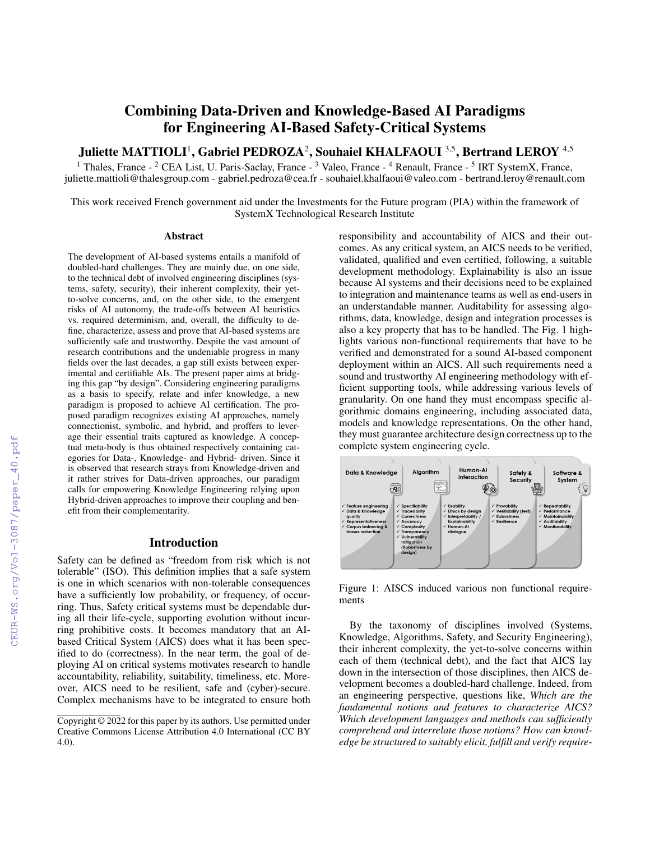# Combining Data-Driven and Knowledge-Based AI Paradigms for Engineering AI-Based Safety-Critical Systems

Juliette MATTIOLI<sup>1</sup>, Gabriel PEDROZA<sup>2</sup>, Souhaiel KHALFAOUI <sup>3,5</sup>, Bertrand LEROY <sup>4,5</sup>

<sup>1</sup> Thales, France - <sup>2</sup> CEA List, U. Paris-Saclay, France - <sup>3</sup> Valeo, France - <sup>4</sup> Renault, France - <sup>5</sup> IRT SystemX, France, juliette.mattioli@thalesgroup.com - gabriel.pedroza@cea.fr - souhaiel.khalfaoui@valeo.com - bertrand.leroy@renault.com

This work received French government aid under the Investments for the Future program (PIA) within the framework of SystemX Technological Research Institute

#### **Abstract**

The development of AI-based systems entails a manifold of doubled-hard challenges. They are mainly due, on one side, to the technical debt of involved engineering disciplines (systems, safety, security), their inherent complexity, their yetto-solve concerns, and, on the other side, to the emergent risks of AI autonomy, the trade-offs between AI heuristics vs. required determinism, and, overall, the difficulty to define, characterize, assess and prove that AI-based systems are sufficiently safe and trustworthy. Despite the vast amount of research contributions and the undeniable progress in many fields over the last decades, a gap still exists between experimental and certifiable AIs. The present paper aims at bridging this gap "by design". Considering engineering paradigms as a basis to specify, relate and infer knowledge, a new paradigm is proposed to achieve AI certification. The proposed paradigm recognizes existing AI approaches, namely connectionist, symbolic, and hybrid, and proffers to leverage their essential traits captured as knowledge. A conceptual meta-body is thus obtained respectively containing categories for Data-, Knowledge- and Hybrid- driven. Since it is observed that research strays from Knowledge-driven and it rather strives for Data-driven approaches, our paradigm calls for empowering Knowledge Engineering relying upon Hybrid-driven approaches to improve their coupling and benefit from their complementarity.

### Introduction

Safety can be defined as "freedom from risk which is not tolerable" (ISO). This definition implies that a safe system is one in which scenarios with non-tolerable consequences have a sufficiently low probability, or frequency, of occurring. Thus, Safety critical systems must be dependable during all their life-cycle, supporting evolution without incurring prohibitive costs. It becomes mandatory that an AIbased Critical System (AICS) does what it has been specified to do (correctness). In the near term, the goal of deploying AI on critical systems motivates research to handle accountability, reliability, suitability, timeliness, etc. Moreover, AICS need to be resilient, safe and (cyber)-secure. Complex mechanisms have to be integrated to ensure both responsibility and accountability of AICS and their outcomes. As any critical system, an AICS needs to be verified, validated, qualified and even certified, following, a suitable development methodology. Explainability is also an issue because AI systems and their decisions need to be explained to integration and maintenance teams as well as end-users in an understandable manner. Auditability for assessing algorithms, data, knowledge, design and integration processes is also a key property that has to be handled. The Fig. 1 highlights various non-functional requirements that have to be verified and demonstrated for a sound AI-based component deployment within an AICS. All such requirements need a sound and trustworthy AI engineering methodology with efficient supporting tools, while addressing various levels of granularity. On one hand they must encompass specific algorithmic domains engineering, including associated data, models and knowledge representations. On the other hand, they must guarantee architecture design correctness up to the complete system engineering cycle.



Figure 1: AISCS induced various non functional requirements

By the taxonomy of disciplines involved (Systems, Knowledge, Algorithms, Safety, and Security Engineering), their inherent complexity, the yet-to-solve concerns within each of them (technical debt), and the fact that AICS lay down in the intersection of those disciplines, then AICS development becomes a doubled-hard challenge. Indeed, from an engineering perspective, questions like, *Which are the fundamental notions and features to characterize AICS? Which development languages and methods can sufficiently comprehend and interrelate those notions? How can knowledge be structured to suitably elicit, fulfill and verify require-*

Copyright © 2022 for this paper by its authors. Use permitted under Creative Commons License Attribution 4.0 International (CC BY 4.0).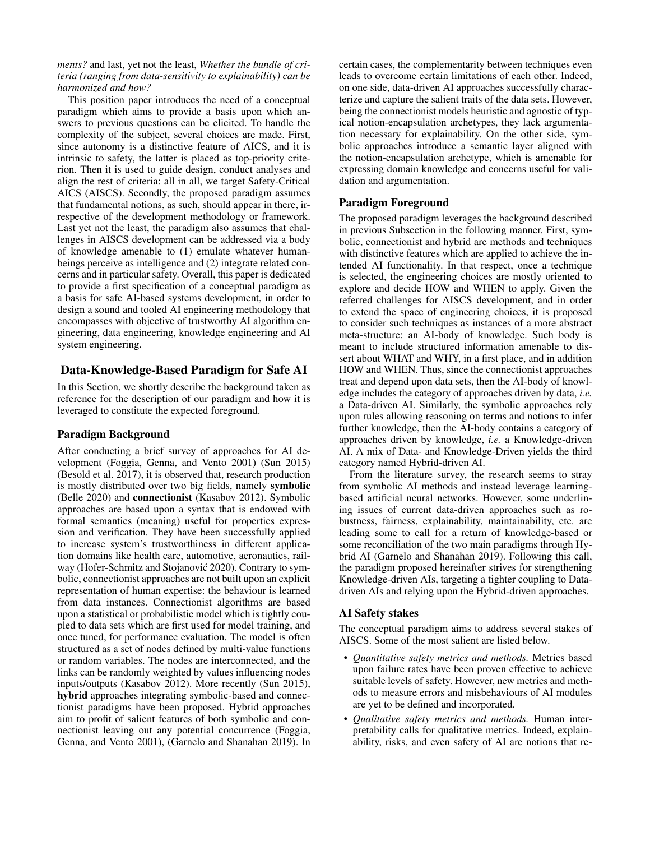*ments?* and last, yet not the least, *Whether the bundle of criteria (ranging from data-sensitivity to explainability) can be harmonized and how?*

This position paper introduces the need of a conceptual paradigm which aims to provide a basis upon which answers to previous questions can be elicited. To handle the complexity of the subject, several choices are made. First, since autonomy is a distinctive feature of AICS, and it is intrinsic to safety, the latter is placed as top-priority criterion. Then it is used to guide design, conduct analyses and align the rest of criteria: all in all, we target Safety-Critical AICS (AISCS). Secondly, the proposed paradigm assumes that fundamental notions, as such, should appear in there, irrespective of the development methodology or framework. Last yet not the least, the paradigm also assumes that challenges in AISCS development can be addressed via a body of knowledge amenable to (1) emulate whatever humanbeings perceive as intelligence and (2) integrate related concerns and in particular safety. Overall, this paper is dedicated to provide a first specification of a conceptual paradigm as a basis for safe AI-based systems development, in order to design a sound and tooled AI engineering methodology that encompasses with objective of trustworthy AI algorithm engineering, data engineering, knowledge engineering and AI system engineering.

# Data-Knowledge-Based Paradigm for Safe AI

In this Section, we shortly describe the background taken as reference for the description of our paradigm and how it is leveraged to constitute the expected foreground.

## Paradigm Background

After conducting a brief survey of approaches for AI development (Foggia, Genna, and Vento 2001) (Sun 2015) (Besold et al. 2017), it is observed that, research production is mostly distributed over two big fields, namely symbolic (Belle 2020) and connectionist (Kasabov 2012). Symbolic approaches are based upon a syntax that is endowed with formal semantics (meaning) useful for properties expression and verification. They have been successfully applied to increase system's trustworthiness in different application domains like health care, automotive, aeronautics, railway (Hofer-Schmitz and Stojanović 2020). Contrary to symbolic, connectionist approaches are not built upon an explicit representation of human expertise: the behaviour is learned from data instances. Connectionist algorithms are based upon a statistical or probabilistic model which is tightly coupled to data sets which are first used for model training, and once tuned, for performance evaluation. The model is often structured as a set of nodes defined by multi-value functions or random variables. The nodes are interconnected, and the links can be randomly weighted by values influencing nodes inputs/outputs (Kasabov 2012). More recently (Sun 2015), hybrid approaches integrating symbolic-based and connectionist paradigms have been proposed. Hybrid approaches aim to profit of salient features of both symbolic and connectionist leaving out any potential concurrence (Foggia, Genna, and Vento 2001), (Garnelo and Shanahan 2019). In certain cases, the complementarity between techniques even leads to overcome certain limitations of each other. Indeed, on one side, data-driven AI approaches successfully characterize and capture the salient traits of the data sets. However, being the connectionist models heuristic and agnostic of typical notion-encapsulation archetypes, they lack argumentation necessary for explainability. On the other side, symbolic approaches introduce a semantic layer aligned with the notion-encapsulation archetype, which is amenable for expressing domain knowledge and concerns useful for validation and argumentation.

#### Paradigm Foreground

The proposed paradigm leverages the background described in previous Subsection in the following manner. First, symbolic, connectionist and hybrid are methods and techniques with distinctive features which are applied to achieve the intended AI functionality. In that respect, once a technique is selected, the engineering choices are mostly oriented to explore and decide HOW and WHEN to apply. Given the referred challenges for AISCS development, and in order to extend the space of engineering choices, it is proposed to consider such techniques as instances of a more abstract meta-structure: an AI-body of knowledge. Such body is meant to include structured information amenable to dissert about WHAT and WHY, in a first place, and in addition HOW and WHEN. Thus, since the connectionist approaches treat and depend upon data sets, then the AI-body of knowledge includes the category of approaches driven by data, *i.e.* a Data-driven AI. Similarly, the symbolic approaches rely upon rules allowing reasoning on terms and notions to infer further knowledge, then the AI-body contains a category of approaches driven by knowledge, *i.e.* a Knowledge-driven AI. A mix of Data- and Knowledge-Driven yields the third category named Hybrid-driven AI.

From the literature survey, the research seems to stray from symbolic AI methods and instead leverage learningbased artificial neural networks. However, some underlining issues of current data-driven approaches such as robustness, fairness, explainability, maintainability, etc. are leading some to call for a return of knowledge-based or some reconciliation of the two main paradigms through Hybrid AI (Garnelo and Shanahan 2019). Following this call, the paradigm proposed hereinafter strives for strengthening Knowledge-driven AIs, targeting a tighter coupling to Datadriven AIs and relying upon the Hybrid-driven approaches.

# AI Safety stakes

The conceptual paradigm aims to address several stakes of AISCS. Some of the most salient are listed below.

- *Quantitative safety metrics and methods.* Metrics based upon failure rates have been proven effective to achieve suitable levels of safety. However, new metrics and methods to measure errors and misbehaviours of AI modules are yet to be defined and incorporated.
- *Qualitative safety metrics and methods.* Human interpretability calls for qualitative metrics. Indeed, explainability, risks, and even safety of AI are notions that re-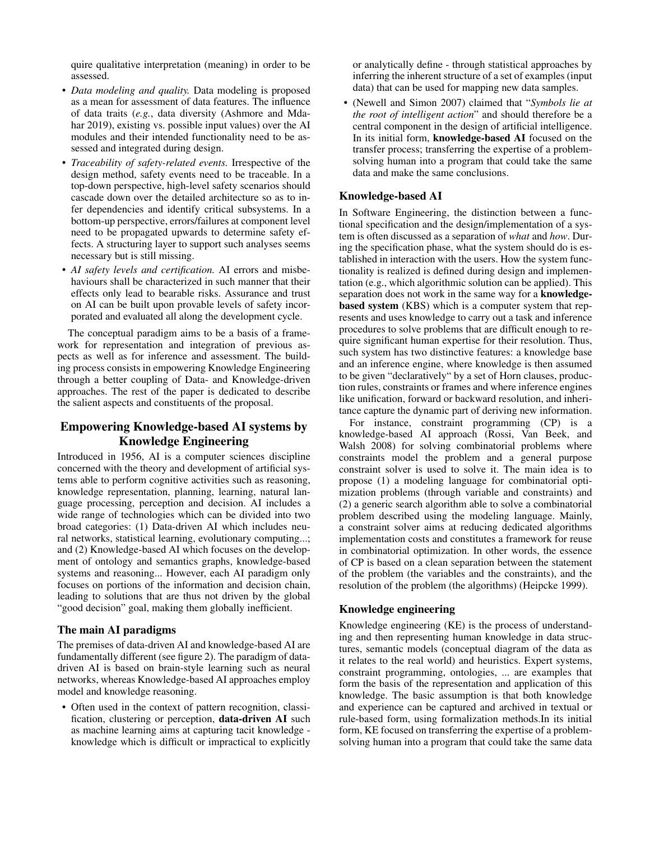quire qualitative interpretation (meaning) in order to be assessed.

- *Data modeling and quality.* Data modeling is proposed as a mean for assessment of data features. The influence of data traits (*e.g.*, data diversity (Ashmore and Mdahar 2019), existing vs. possible input values) over the AI modules and their intended functionality need to be assessed and integrated during design.
- *Traceability of safety-related events.* Irrespective of the design method, safety events need to be traceable. In a top-down perspective, high-level safety scenarios should cascade down over the detailed architecture so as to infer dependencies and identify critical subsystems. In a bottom-up perspective, errors/failures at component level need to be propagated upwards to determine safety effects. A structuring layer to support such analyses seems necessary but is still missing.
- *AI safety levels and certification.* AI errors and misbehaviours shall be characterized in such manner that their effects only lead to bearable risks. Assurance and trust on AI can be built upon provable levels of safety incorporated and evaluated all along the development cycle.

The conceptual paradigm aims to be a basis of a framework for representation and integration of previous aspects as well as for inference and assessment. The building process consists in empowering Knowledge Engineering through a better coupling of Data- and Knowledge-driven approaches. The rest of the paper is dedicated to describe the salient aspects and constituents of the proposal.

# Empowering Knowledge-based AI systems by Knowledge Engineering

Introduced in 1956, AI is a computer sciences discipline concerned with the theory and development of artificial systems able to perform cognitive activities such as reasoning, knowledge representation, planning, learning, natural language processing, perception and decision. AI includes a wide range of technologies which can be divided into two broad categories: (1) Data-driven AI which includes neural networks, statistical learning, evolutionary computing...; and (2) Knowledge-based AI which focuses on the development of ontology and semantics graphs, knowledge-based systems and reasoning... However, each AI paradigm only focuses on portions of the information and decision chain, leading to solutions that are thus not driven by the global "good decision" goal, making them globally inefficient.

#### The main AI paradigms

The premises of data-driven AI and knowledge-based AI are fundamentally different (see figure 2). The paradigm of datadriven AI is based on brain-style learning such as neural networks, whereas Knowledge-based AI approaches employ model and knowledge reasoning.

• Often used in the context of pattern recognition, classification, clustering or perception, data-driven AI such as machine learning aims at capturing tacit knowledge knowledge which is difficult or impractical to explicitly or analytically define - through statistical approaches by inferring the inherent structure of a set of examples (input data) that can be used for mapping new data samples.

• (Newell and Simon 2007) claimed that "*Symbols lie at the root of intelligent action*" and should therefore be a central component in the design of artificial intelligence. In its initial form, knowledge-based AI focused on the transfer process; transferring the expertise of a problemsolving human into a program that could take the same data and make the same conclusions.

#### Knowledge-based AI

In Software Engineering, the distinction between a functional specification and the design/implementation of a system is often discussed as a separation of *what* and *how*. During the specification phase, what the system should do is established in interaction with the users. How the system functionality is realized is defined during design and implementation (e.g., which algorithmic solution can be applied). This separation does not work in the same way for a **knowledge**based system (KBS) which is a computer system that represents and uses knowledge to carry out a task and inference procedures to solve problems that are difficult enough to require significant human expertise for their resolution. Thus, such system has two distinctive features: a knowledge base and an inference engine, where knowledge is then assumed to be given "declaratively" by a set of Horn clauses, production rules, constraints or frames and where inference engines like unification, forward or backward resolution, and inheritance capture the dynamic part of deriving new information.

For instance, constraint programming (CP) is a knowledge-based AI approach (Rossi, Van Beek, and Walsh 2008) for solving combinatorial problems where constraints model the problem and a general purpose constraint solver is used to solve it. The main idea is to propose (1) a modeling language for combinatorial optimization problems (through variable and constraints) and (2) a generic search algorithm able to solve a combinatorial problem described using the modeling language. Mainly, a constraint solver aims at reducing dedicated algorithms implementation costs and constitutes a framework for reuse in combinatorial optimization. In other words, the essence of CP is based on a clean separation between the statement of the problem (the variables and the constraints), and the resolution of the problem (the algorithms) (Heipcke 1999).

#### Knowledge engineering

Knowledge engineering (KE) is the process of understanding and then representing human knowledge in data structures, semantic models (conceptual diagram of the data as it relates to the real world) and heuristics. Expert systems, constraint programming, ontologies, ... are examples that form the basis of the representation and application of this knowledge. The basic assumption is that both knowledge and experience can be captured and archived in textual or rule-based form, using formalization methods.In its initial form, KE focused on transferring the expertise of a problemsolving human into a program that could take the same data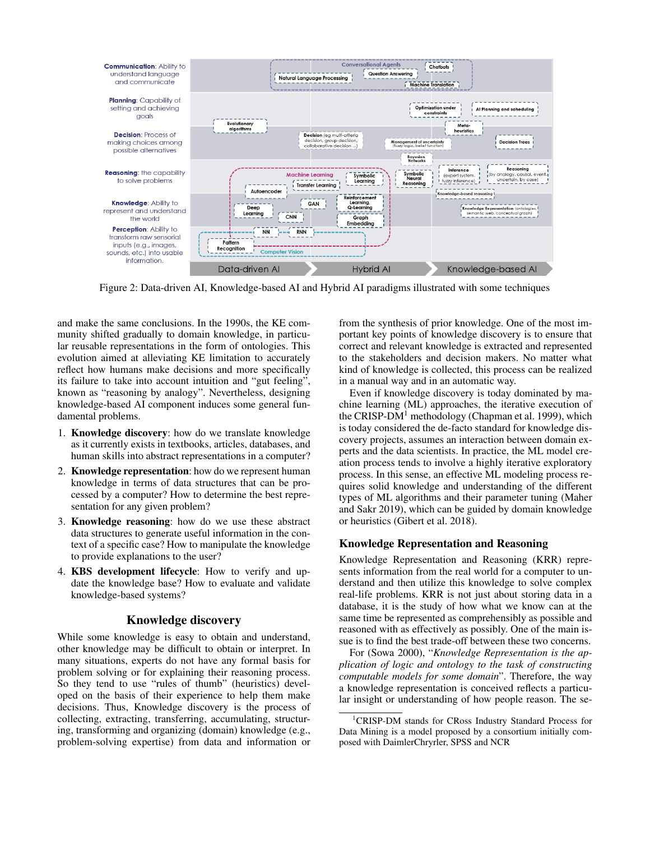

Figure 2: Data-driven AI, Knowledge-based AI and Hybrid AI paradigms illustrated with some techniques

and make the same conclusions. In the 1990s, the KE community shifted gradually to domain knowledge, in particular reusable representations in the form of ontologies. This evolution aimed at alleviating KE limitation to accurately reflect how humans make decisions and more specifically its failure to take into account intuition and "gut feeling", known as "reasoning by analogy". Nevertheless, designing knowledge-based AI component induces some general fundamental problems.

- 1. Knowledge discovery: how do we translate knowledge as it currently exists in textbooks, articles, databases, and human skills into abstract representations in a computer?
- 2. Knowledge representation: how do we represent human knowledge in terms of data structures that can be processed by a computer? How to determine the best representation for any given problem?
- 3. Knowledge reasoning: how do we use these abstract data structures to generate useful information in the context of a specific case? How to manipulate the knowledge to provide explanations to the user?
- 4. KBS development lifecycle: How to verify and update the knowledge base? How to evaluate and validate knowledge-based systems?

#### Knowledge discovery

While some knowledge is easy to obtain and understand, other knowledge may be difficult to obtain or interpret. In many situations, experts do not have any formal basis for problem solving or for explaining their reasoning process. So they tend to use "rules of thumb" (heuristics) developed on the basis of their experience to help them make decisions. Thus, Knowledge discovery is the process of collecting, extracting, transferring, accumulating, structuring, transforming and organizing (domain) knowledge (e.g., problem-solving expertise) from data and information or

from the synthesis of prior knowledge. One of the most important key points of knowledge discovery is to ensure that correct and relevant knowledge is extracted and represented to the stakeholders and decision makers. No matter what kind of knowledge is collected, this process can be realized in a manual way and in an automatic way.

Even if knowledge discovery is today dominated by machine learning (ML) approaches, the iterative execution of the CRISP-DM<sup>1</sup> methodology (Chapman et al. 1999), which is today considered the de-facto standard for knowledge discovery projects, assumes an interaction between domain experts and the data scientists. In practice, the ML model creation process tends to involve a highly iterative exploratory process. In this sense, an effective ML modeling process requires solid knowledge and understanding of the different types of ML algorithms and their parameter tuning (Maher and Sakr 2019), which can be guided by domain knowledge or heuristics (Gibert et al. 2018).

#### Knowledge Representation and Reasoning

Knowledge Representation and Reasoning (KRR) represents information from the real world for a computer to understand and then utilize this knowledge to solve complex real-life problems. KRR is not just about storing data in a database, it is the study of how what we know can at the same time be represented as comprehensibly as possible and reasoned with as effectively as possibly. One of the main issue is to find the best trade-off between these two concerns.

For (Sowa 2000), "*Knowledge Representation is the application of logic and ontology to the task of constructing computable models for some domain*". Therefore, the way a knowledge representation is conceived reflects a particular insight or understanding of how people reason. The se-

<sup>&</sup>lt;sup>1</sup>CRISP-DM stands for CRoss Industry Standard Process for Data Mining is a model proposed by a consortium initially composed with DaimlerChryrler, SPSS and NCR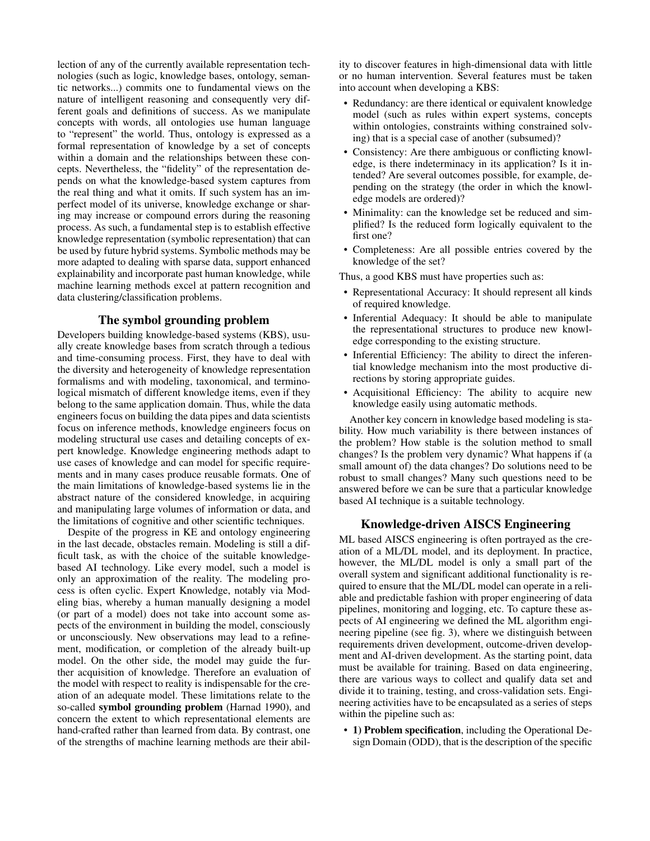lection of any of the currently available representation technologies (such as logic, knowledge bases, ontology, semantic networks...) commits one to fundamental views on the nature of intelligent reasoning and consequently very different goals and definitions of success. As we manipulate concepts with words, all ontologies use human language to "represent" the world. Thus, ontology is expressed as a formal representation of knowledge by a set of concepts within a domain and the relationships between these concepts. Nevertheless, the "fidelity" of the representation depends on what the knowledge-based system captures from the real thing and what it omits. If such system has an imperfect model of its universe, knowledge exchange or sharing may increase or compound errors during the reasoning process. As such, a fundamental step is to establish effective knowledge representation (symbolic representation) that can be used by future hybrid systems. Symbolic methods may be more adapted to dealing with sparse data, support enhanced explainability and incorporate past human knowledge, while machine learning methods excel at pattern recognition and data clustering/classification problems.

#### The symbol grounding problem

Developers building knowledge-based systems (KBS), usually create knowledge bases from scratch through a tedious and time-consuming process. First, they have to deal with the diversity and heterogeneity of knowledge representation formalisms and with modeling, taxonomical, and terminological mismatch of different knowledge items, even if they belong to the same application domain. Thus, while the data engineers focus on building the data pipes and data scientists focus on inference methods, knowledge engineers focus on modeling structural use cases and detailing concepts of expert knowledge. Knowledge engineering methods adapt to use cases of knowledge and can model for specific requirements and in many cases produce reusable formats. One of the main limitations of knowledge-based systems lie in the abstract nature of the considered knowledge, in acquiring and manipulating large volumes of information or data, and the limitations of cognitive and other scientific techniques.

Despite of the progress in KE and ontology engineering in the last decade, obstacles remain. Modeling is still a difficult task, as with the choice of the suitable knowledgebased AI technology. Like every model, such a model is only an approximation of the reality. The modeling process is often cyclic. Expert Knowledge, notably via Modeling bias, whereby a human manually designing a model (or part of a model) does not take into account some aspects of the environment in building the model, consciously or unconsciously. New observations may lead to a refinement, modification, or completion of the already built-up model. On the other side, the model may guide the further acquisition of knowledge. Therefore an evaluation of the model with respect to reality is indispensable for the creation of an adequate model. These limitations relate to the so-called symbol grounding problem (Harnad 1990), and concern the extent to which representational elements are hand-crafted rather than learned from data. By contrast, one of the strengths of machine learning methods are their ability to discover features in high-dimensional data with little or no human intervention. Several features must be taken into account when developing a KBS:

- Redundancy: are there identical or equivalent knowledge model (such as rules within expert systems, concepts within ontologies, constraints withing constrained solving) that is a special case of another (subsumed)?
- Consistency: Are there ambiguous or conflicting knowledge, is there indeterminacy in its application? Is it intended? Are several outcomes possible, for example, depending on the strategy (the order in which the knowledge models are ordered)?
- Minimality: can the knowledge set be reduced and simplified? Is the reduced form logically equivalent to the first one?
- Completeness: Are all possible entries covered by the knowledge of the set?

Thus, a good KBS must have properties such as:

- Representational Accuracy: It should represent all kinds of required knowledge.
- Inferential Adequacy: It should be able to manipulate the representational structures to produce new knowledge corresponding to the existing structure.
- Inferential Efficiency: The ability to direct the inferential knowledge mechanism into the most productive directions by storing appropriate guides.
- Acquisitional Efficiency: The ability to acquire new knowledge easily using automatic methods.

Another key concern in knowledge based modeling is stability. How much variability is there between instances of the problem? How stable is the solution method to small changes? Is the problem very dynamic? What happens if (a small amount of) the data changes? Do solutions need to be robust to small changes? Many such questions need to be answered before we can be sure that a particular knowledge based AI technique is a suitable technology.

# Knowledge-driven AISCS Engineering

ML based AISCS engineering is often portrayed as the creation of a ML/DL model, and its deployment. In practice, however, the ML/DL model is only a small part of the overall system and significant additional functionality is required to ensure that the ML/DL model can operate in a reliable and predictable fashion with proper engineering of data pipelines, monitoring and logging, etc. To capture these aspects of AI engineering we defined the ML algorithm engineering pipeline (see fig. 3), where we distinguish between requirements driven development, outcome-driven development and AI-driven development. As the starting point, data must be available for training. Based on data engineering, there are various ways to collect and qualify data set and divide it to training, testing, and cross-validation sets. Engineering activities have to be encapsulated as a series of steps within the pipeline such as:

• 1) Problem specification, including the Operational Design Domain (ODD), that is the description of the specific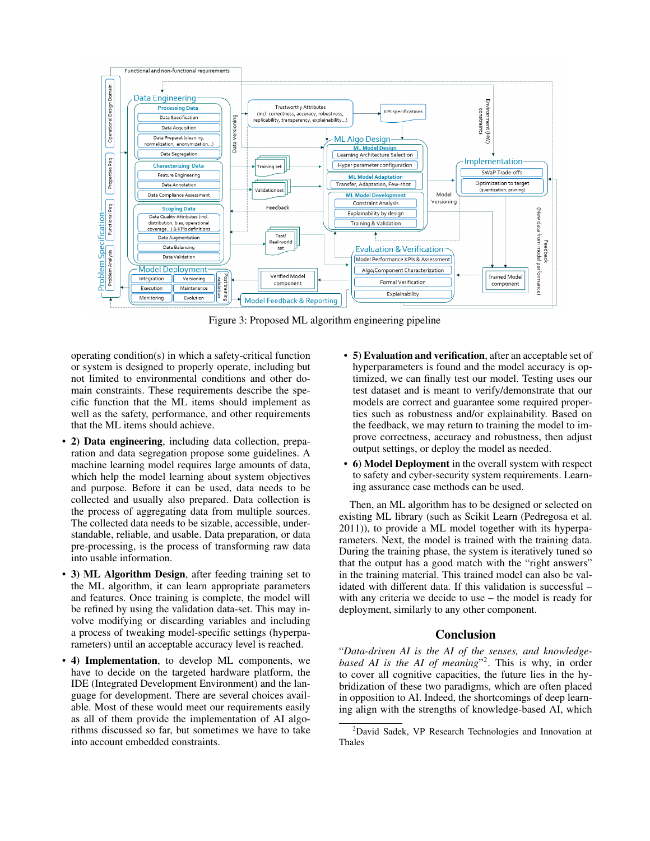

Figure 3: Proposed ML algorithm engineering pipeline

operating condition(s) in which a safety-critical function or system is designed to properly operate, including but not limited to environmental conditions and other domain constraints. These requirements describe the specific function that the ML items should implement as well as the safety, performance, and other requirements that the ML items should achieve.

- 2) Data engineering, including data collection, preparation and data segregation propose some guidelines. A machine learning model requires large amounts of data, which help the model learning about system objectives and purpose. Before it can be used, data needs to be collected and usually also prepared. Data collection is the process of aggregating data from multiple sources. The collected data needs to be sizable, accessible, understandable, reliable, and usable. Data preparation, or data pre-processing, is the process of transforming raw data into usable information.
- 3) ML Algorithm Design, after feeding training set to the ML algorithm, it can learn appropriate parameters and features. Once training is complete, the model will be refined by using the validation data-set. This may involve modifying or discarding variables and including a process of tweaking model-specific settings (hyperparameters) until an acceptable accuracy level is reached.
- 4) Implementation, to develop ML components, we have to decide on the targeted hardware platform, the IDE (Integrated Development Environment) and the language for development. There are several choices available. Most of these would meet our requirements easily as all of them provide the implementation of AI algorithms discussed so far, but sometimes we have to take into account embedded constraints.
- 5) Evaluation and verification, after an acceptable set of hyperparameters is found and the model accuracy is optimized, we can finally test our model. Testing uses our test dataset and is meant to verify/demonstrate that our models are correct and guarantee some required properties such as robustness and/or explainability. Based on the feedback, we may return to training the model to improve correctness, accuracy and robustness, then adjust output settings, or deploy the model as needed.
- 6) Model Deployment in the overall system with respect to safety and cyber-security system requirements. Learning assurance case methods can be used.

Then, an ML algorithm has to be designed or selected on existing ML library (such as Scikit Learn (Pedregosa et al. 2011)), to provide a ML model together with its hyperparameters. Next, the model is trained with the training data. During the training phase, the system is iteratively tuned so that the output has a good match with the "right answers" in the training material. This trained model can also be validated with different data. If this validation is successful – with any criteria we decide to use – the model is ready for deployment, similarly to any other component.

## Conclusion

"*Data-driven AI is the AI of the senses, and knowledgebased AI is the AI of meaning*" 2 . This is why, in order to cover all cognitive capacities, the future lies in the hybridization of these two paradigms, which are often placed in opposition to AI. Indeed, the shortcomings of deep learning align with the strengths of knowledge-based AI, which

<sup>2</sup>David Sadek, VP Research Technologies and Innovation at Thales